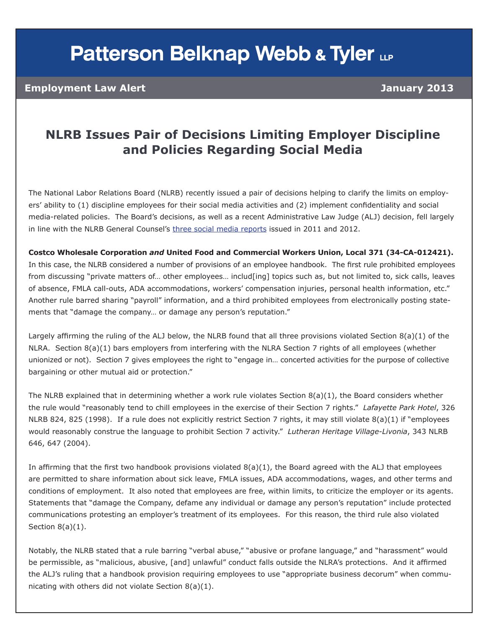# **Patterson Belknap Webb & Tyler LLP**

#### **Employment Law Alert January 2013**

### **NLRB Issues Pair of Decisions Limiting Employer Discipline and Policies Regarding Social Media**

The National Labor Relations Board (NLRB) recently issued a pair of decisions helping to clarify the limits on employers' ability to (1) discipline employees for their social media activities and (2) implement confidentiality and social media-related policies. The Board's decisions, as well as a recent Administrative Law Judge (ALJ) decision, fell largely in line with the NLRB General Counsel's [three social media reports](http://www.nlrb.gov/news/acting-general-counsel-releases-report-employer-social-media-policies) issued in 2011 and 2012.

**Costco Wholesale Corporation** *and* **United Food and Commercial Workers Union, Local 371 (34-CA-012421).** In this case, the NLRB considered a number of provisions of an employee handbook. The first rule prohibited employees from discussing "private matters of... other employees... includ[ing] topics such as, but not limited to, sick calls, leaves of absence, FMLA call-outs, ADA accommodations, workers' compensation injuries, personal health information, etc." Another rule barred sharing "payroll" information, and a third prohibited employees from electronically posting statements that "damage the company… or damage any person's reputation."

Largely affirming the ruling of the ALJ below, the NLRB found that all three provisions violated Section 8(a)(1) of the NLRA. Section 8(a)(1) bars employers from interfering with the NLRA Section 7 rights of all employees (whether unionized or not). Section 7 gives employees the right to "engage in… concerted activities for the purpose of collective bargaining or other mutual aid or protection."

The NLRB explained that in determining whether a work rule violates Section  $8(a)(1)$ , the Board considers whether the rule would "reasonably tend to chill employees in the exercise of their Section 7 rights." *Lafayette Park Hotel*, 326 NLRB 824, 825 (1998). If a rule does not explicitly restrict Section 7 rights, it may still violate 8(a)(1) if "employees would reasonably construe the language to prohibit Section 7 activity." *Lutheran Heritage Village-Livonia*, 343 NLRB 646, 647 (2004).

In affirming that the first two handbook provisions violated  $8(a)(1)$ , the Board agreed with the ALJ that employees are permitted to share information about sick leave, FMLA issues, ADA accommodations, wages, and other terms and conditions of employment. It also noted that employees are free, within limits, to criticize the employer or its agents. Statements that "damage the Company, defame any individual or damage any person's reputation" include protected communications protesting an employer's treatment of its employees. For this reason, the third rule also violated Section  $8(a)(1)$ .

Notably, the NLRB stated that a rule barring "verbal abuse," "abusive or profane language," and "harassment" would be permissible, as "malicious, abusive, [and] unlawful" conduct falls outside the NLRA's protections. And it affirmed the ALJ's ruling that a handbook provision requiring employees to use "appropriate business decorum" when communicating with others did not violate Section 8(a)(1).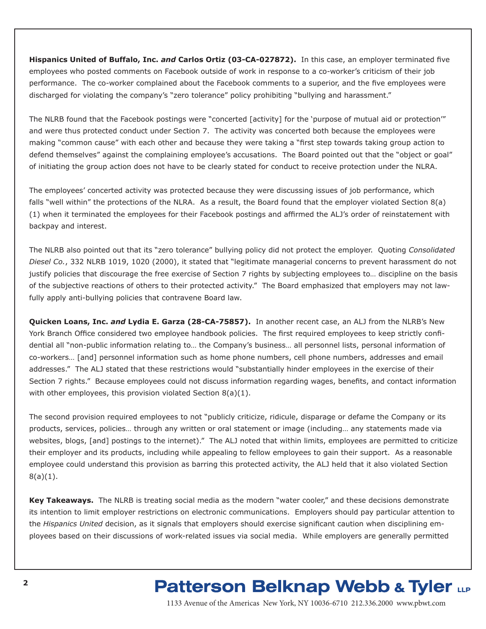**Hispanics United of Buffalo, Inc.** *and* **Carlos Ortiz (03-CA-027872).** In this case, an employer terminated five employees who posted comments on Facebook outside of work in response to a co-worker's criticism of their job performance. The co-worker complained about the Facebook comments to a superior, and the five employees were discharged for violating the company's "zero tolerance" policy prohibiting "bullying and harassment."

The NLRB found that the Facebook postings were "concerted [activity] for the 'purpose of mutual aid or protection'" and were thus protected conduct under Section 7. The activity was concerted both because the employees were making "common cause" with each other and because they were taking a "first step towards taking group action to defend themselves" against the complaining employee's accusations. The Board pointed out that the "object or goal" of initiating the group action does not have to be clearly stated for conduct to receive protection under the NLRA.

The employees' concerted activity was protected because they were discussing issues of job performance, which falls "well within" the protections of the NLRA. As a result, the Board found that the employer violated Section 8(a) (1) when it terminated the employees for their Facebook postings and affirmed the ALJ's order of reinstatement with backpay and interest.

The NLRB also pointed out that its "zero tolerance" bullying policy did not protect the employer. Quoting *Consolidated Diesel Co.*, 332 NLRB 1019, 1020 (2000), it stated that "legitimate managerial concerns to prevent harassment do not justify policies that discourage the free exercise of Section 7 rights by subjecting employees to… discipline on the basis of the subjective reactions of others to their protected activity." The Board emphasized that employers may not lawfully apply anti-bullying policies that contravene Board law.

**Quicken Loans, Inc.** *and* **Lydia E. Garza (28-CA-75857).** In another recent case, an ALJ from the NLRB's New York Branch Office considered two employee handbook policies. The first required employees to keep strictly confidential all "non-public information relating to… the Company's business… all personnel lists, personal information of co-workers… [and] personnel information such as home phone numbers, cell phone numbers, addresses and email addresses." The ALJ stated that these restrictions would "substantially hinder employees in the exercise of their Section 7 rights." Because employees could not discuss information regarding wages, benefits, and contact information with other employees, this provision violated Section 8(a)(1).

The second provision required employees to not "publicly criticize, ridicule, disparage or defame the Company or its products, services, policies… through any written or oral statement or image (including… any statements made via websites, blogs, [and] postings to the internet)." The ALJ noted that within limits, employees are permitted to criticize their employer and its products, including while appealing to fellow employees to gain their support. As a reasonable employee could understand this provision as barring this protected activity, the ALJ held that it also violated Section 8(a)(1).

**Key Takeaways.** The NLRB is treating social media as the modern "water cooler," and these decisions demonstrate its intention to limit employer restrictions on electronic communications. Employers should pay particular attention to the *Hispanics United* decision, as it signals that employers should exercise significant caution when disciplining employees based on their discussions of work-related issues via social media. While employers are generally permitted

## **Patterson Belknap Webb & Tyler LLP**

1133 Avenue of the Americas New York, NY 10036-6710 212.336.2000 www.pbwt.com